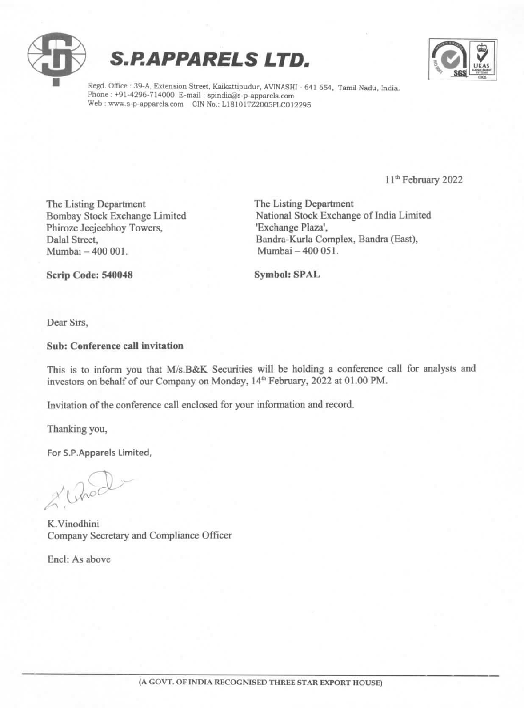





Regd. Office : 39-A, Extension Street, Kaikattipudur, AVINASHI - 641 654, Tamil Nadu, India. Phone : +91-4296-714000 E-mail : spindia@s-p-apparels.com Web: www.s-p-apparels.com CIN No.: L18101TZ2005PLC012295

11% February 2022

The Listing Department Bombay Stock Exchange Limited Phirozc Jeejeebhoy Towers, Dalal Street, Mumbai -400 001.

The Listing Department National Stock Exchange of India Limited "Exchange Plaza', Bandra-Kurla Complex, Bandra (East), Mumbai - 400 051.

Scrip Code: 540048

Symbol: SPAL

Dear Sirs,

#### Sub: Conference call invitation

This is to inform you that M/s.B&K Securities will be holding a conference call for analysts and investors on behalf of our Company on Monday, 14" February, 2022 at 01.00 PM.

Invitation of the conference call enclosed for your information and record.

Thanking you,

For S.P.Apparels Limited,

ZA

K.Vinodhini Company Secretary and Compliance Officer

Encl: As above